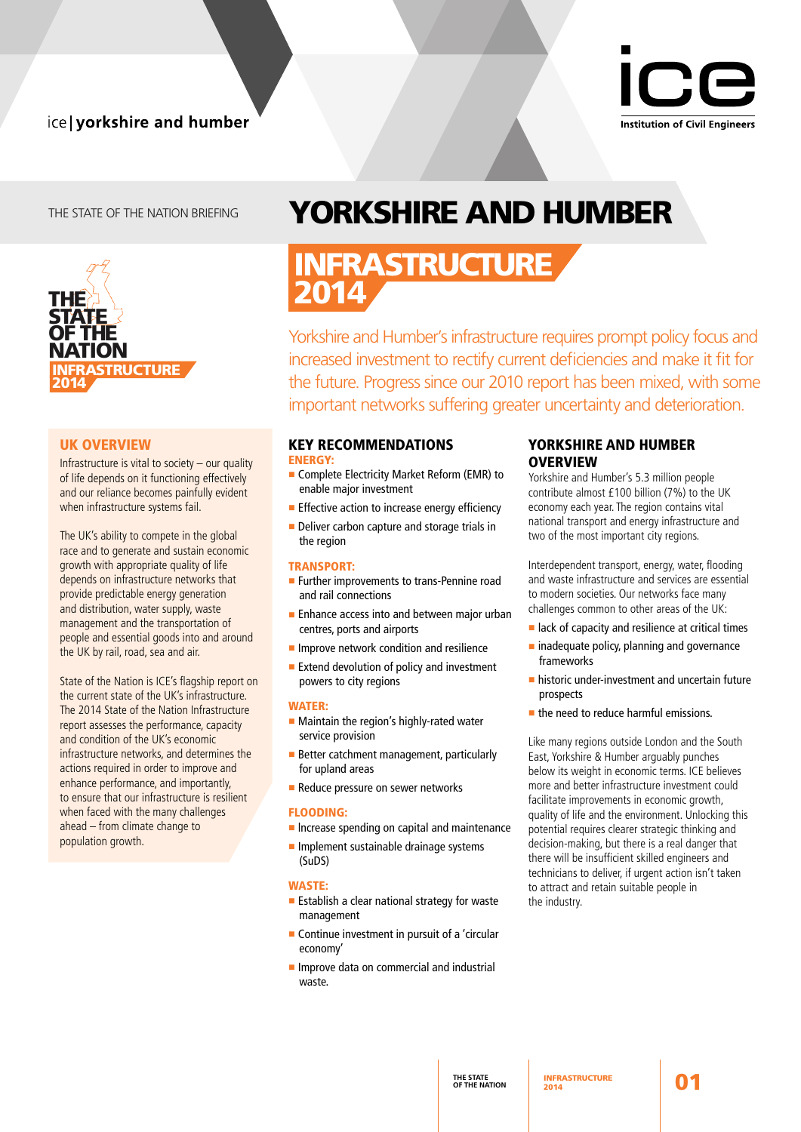## ice | yorkshire and humber



## THE STATE OF THE NATION BRIEFING



## UK OVERVIEW

Infrastructure is vital to society – our quality of life depends on it functioning effectively and our reliance becomes painfully evident when infrastructure systems fail.

The UK's ability to compete in the global race and to generate and sustain economic growth with appropriate quality of life depends on infrastructure networks that provide predictable energy generation and distribution, water supply, waste management and the transportation of people and essential goods into and around the UK by rail, road, sea and air.

State of the Nation is ICE's flagship report on the current state of the UK's infrastructure. The 2014 State of the Nation Infrastructure report assesses the performance, capacity and condition of the UK's economic infrastructure networks, and determines the actions required in order to improve and enhance performance, and importantly, to ensure that our infrastructure is resilient when faced with the many challenges ahead – from climate change to population growth.

# Yorkshire and humber

## INFRASTRUCTURE 2014

Yorkshire and Humber's infrastructure requires prompt policy focus and increased investment to rectify current deficiencies and make it fit for the future. Progress since our 2010 report has been mixed, with some important networks suffering greater uncertainty and deterioration.

## key recommendations

energy:

- **n** Complete Electricity Market Reform (EMR) to enable major investment
- $\blacksquare$  Effective action to increase energy efficiency
- **Deliver carbon capture and storage trials in** the region

## transport:

- **Further improvements to trans-Pennine road** and rail connections
- **Enhance access into and between major urban** centres, ports and airports
- $\blacksquare$  Improve network condition and resilience
- **Extend devolution of policy and investment** powers to city regions

#### WATER:

- $\blacksquare$  Maintain the region's highly-rated water service provision
- **Better catchment management, particularly** for upland areas
- **Reduce pressure on sewer networks**

#### flooding:

- $\blacksquare$  Increase spending on capital and maintenance
- $\blacksquare$  Implement sustainable drainage systems (SuDS)

#### waste:

- $\blacksquare$  Establish a clear national strategy for waste management
- $\blacksquare$  Continue investment in pursuit of a 'circular economy'
- **n** Improve data on commercial and industrial waste.

## YORKSHIRE AND HUMBER **OVERVIEW**

Yorkshire and Humber's 5.3 million people contribute almost £100 billion (7%) to the UK economy each year. The region contains vital national transport and energy infrastructure and two of the most important city regions.

Interdependent transport, energy, water, flooding and waste infrastructure and services are essential to modern societies. Our networks face many challenges common to other areas of the UK:

- $\blacksquare$  lack of capacity and resilience at critical times
- $\blacksquare$  inadequate policy, planning and governance frameworks
- $\blacksquare$  historic under-investment and uncertain future prospects
- $\blacksquare$  the need to reduce harmful emissions.

Like many regions outside London and the South East, Yorkshire & Humber arguably punches below its weight in economic terms. ICE believes more and better infrastructure investment could facilitate improvements in economic growth, quality of life and the environment. Unlocking this potential requires clearer strategic thinking and decision-making, but there is a real danger that there will be insufficient skilled engineers and technicians to deliver, if urgent action isn't taken to attract and retain suitable people in the industry.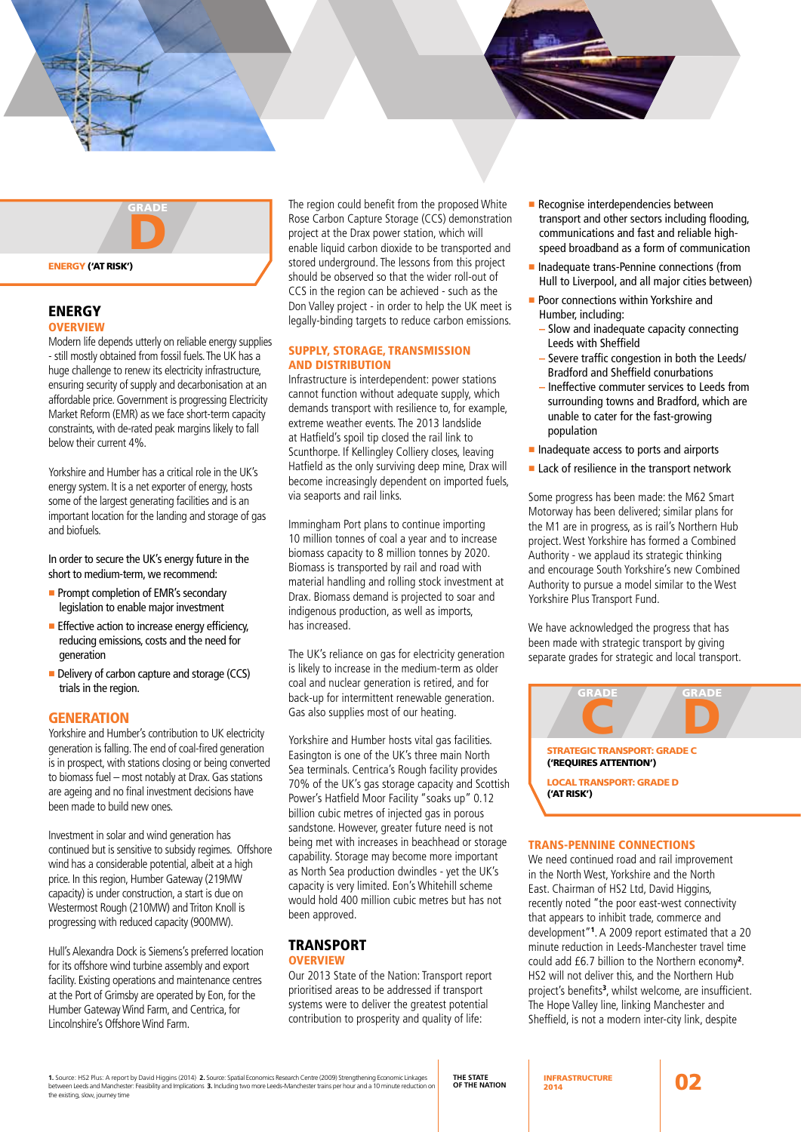

## **ENERGY**

## **OVERVIEW**

Modern life depends utterly on reliable energy supplies - still mostly obtained from fossil fuels. The UK has a huge challenge to renew its electricity infrastructure, ensuring security of supply and decarbonisation at an affordable price. Government is progressing Electricity Market Reform (EMR) as we face short-term capacity constraints, with de-rated peak margins likely to fall below their current 4%.

Yorkshire and Humber has a critical role in the UK's energy system. It is a net exporter of energy, hosts some of the largest generating facilities and is an important location for the landing and storage of gas and biofuels.

In order to secure the UK's energy future in the short to medium-term, we recommend:

- **Prompt completion of EMR's secondary** legislation to enable major investment
- $\blacksquare$  Effective action to increase energy efficiency, reducing emissions, costs and the need for generation
- Delivery of carbon capture and storage (CCS) trials in the region.

#### **GENERATION**

Yorkshire and Humber's contribution to UK electricity generation is falling. The end of coal-fired generation is in prospect, with stations closing or being converted to biomass fuel – most notably at Drax. Gas stations are ageing and no final investment decisions have been made to build new ones.

Investment in solar and wind generation has continued but is sensitive to subsidy regimes. Offshore wind has a considerable potential, albeit at a high price. In this region, Humber Gateway (219MW capacity) is under construction, a start is due on Westermost Rough (210MW) and Triton Knoll is progressing with reduced capacity (900MW).

Hull's Alexandra Dock is Siemens's preferred location for its offshore wind turbine assembly and export facility. Existing operations and maintenance centres at the Port of Grimsby are operated by Eon, for the Humber Gateway Wind Farm, and Centrica, for Lincolnshire's Offshore Wind Farm.

The region could benefit from the proposed White Rose Carbon Capture Storage (CCS) demonstration project at the Drax power station, which will enable liquid carbon dioxide to be transported and stored underground. The lessons from this project should be observed so that the wider roll-out of CCS in the region can be achieved - such as the Don Valley project - in order to help the UK meet is legally-binding targets to reduce carbon emissions.

#### Supply, storage, transmission and distribution

Infrastructure is interdependent: power stations cannot function without adequate supply, which demands transport with resilience to, for example, extreme weather events. The 2013 landslide at Hatfield's spoil tip closed the rail link to Scunthorpe. If Kellingley Colliery closes, leaving Hatfield as the only surviving deep mine, Drax will become increasingly dependent on imported fuels, via seaports and rail links.

Immingham Port plans to continue importing 10 million tonnes of coal a year and to increase biomass capacity to 8 million tonnes by 2020. Biomass is transported by rail and road with material handling and rolling stock investment at Drax. Biomass demand is projected to soar and indigenous production, as well as imports, has increased.

The UK's reliance on gas for electricity generation is likely to increase in the medium-term as older coal and nuclear generation is retired, and for back-up for intermittent renewable generation. Gas also supplies most of our heating.

Yorkshire and Humber hosts vital gas facilities. Easington is one of the UK's three main North Sea terminals. Centrica's Rough facility provides 70% of the UK's gas storage capacity and Scottish Power's Hatfield Moor Facility "soaks up" 0.12 billion cubic metres of injected gas in porous sandstone. However, greater future need is not being met with increases in beachhead or storage capability. Storage may become more important as North Sea production dwindles - yet the UK's capacity is very limited. Eon's Whitehill scheme would hold 400 million cubic metres but has not been approved.

#### **TRANSPORT OVERVIEW**

Our 2013 State of the Nation: Transport report prioritised areas to be addressed if transport systems were to deliver the greatest potential contribution to prosperity and quality of life:

- **Recognise interdependencies between** transport and other sectors including flooding, communications and fast and reliable highspeed broadband as a form of communication
- Inadequate trans-Pennine connections (from Hull to Liverpool, and all major cities between)
- **Poor connections within Yorkshire and** Humber, including:
	- **–** Slow and inadequate capacity connecting Leeds with Sheffield
	- **–** Severe traffic congestion in both the Leeds/ Bradford and Sheffield conurbations
	- **–** Ineffective commuter services to Leeds from surrounding towns and Bradford, which are unable to cater for the fast-growing population
- n Inadequate access to ports and airports
- $\blacksquare$  Lack of resilience in the transport network

Some progress has been made: the M62 Smart Motorway has been delivered; similar plans for the M1 are in progress, as is rail's Northern Hub project. West Yorkshire has formed a Combined Authority - we applaud its strategic thinking and encourage South Yorkshire's new Combined Authority to pursue a model similar to the West Yorkshire Plus Transport Fund.

We have acknowledged the progress that has been made with strategic transport by giving separate grades for strategic and local transport.



Local Transport: grade d ('at risk')

#### Trans-Pennine connections

We need continued road and rail improvement in the North West, Yorkshire and the North East. Chairman of HS2 Ltd, David Higgins, recently noted "the poor east-west connectivity that appears to inhibit trade, commerce and development"<sup>1</sup> . A 2009 report estimated that a 20 minute reduction in Leeds-Manchester travel time could add £6.7 billion to the Northern economy<sup>2</sup> . HS2 will not deliver this, and the Northern Hub project's benefits<sup>3</sup>, whilst welcome, are insufficient. The Hope Valley line, linking Manchester and Sheffield, is not a modern inter-city link, despite

**1.** Source: HS2 Plus: A report by David Higgins (2014) **2.** Source: Spatial Economics Research Centre (2009) Strengthening Economic Linkages between Leeds and Manchester: Feasibility and Implications **3.** Including two more Leeds-Manchester trains per hour and a 10 minute reduction on the existing, slow, journey time

**THE STATE OF THE NATION** INFRASTRUCTURE INFRASTRUCTURE 2014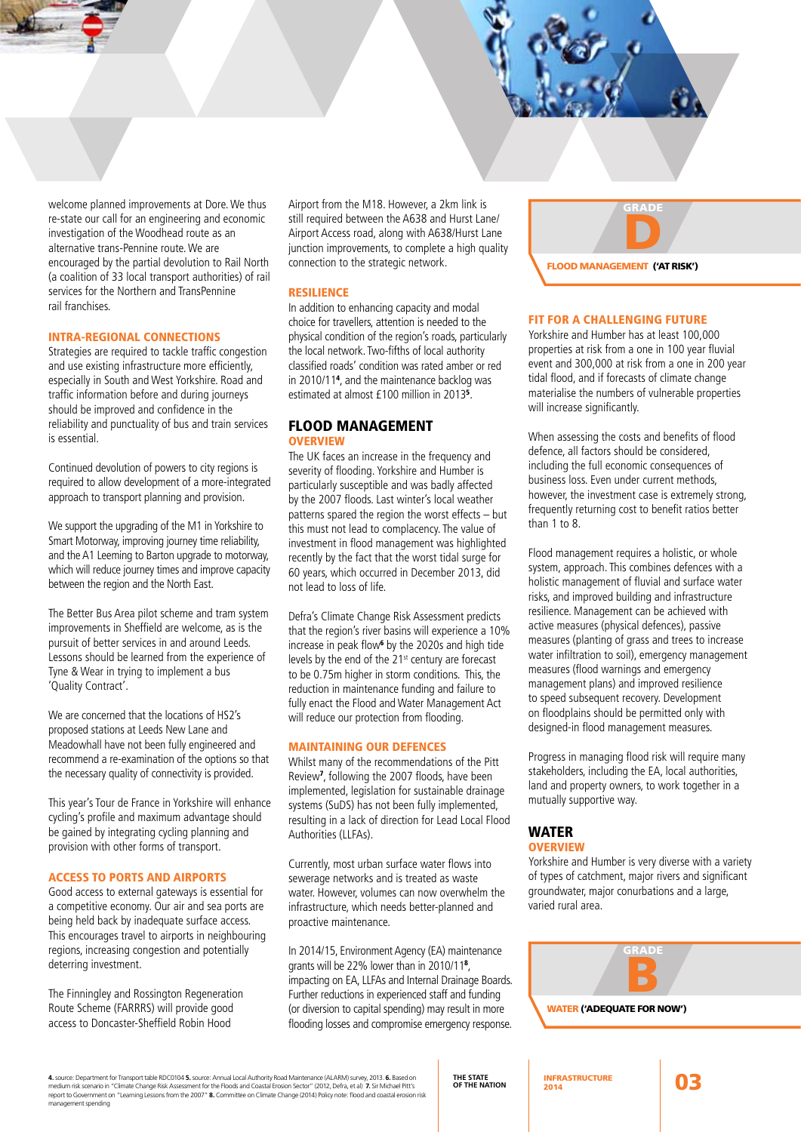welcome planned improvements at Dore. We thus re-state our call for an engineering and economic investigation of the Woodhead route as an alternative trans-Pennine route. We are encouraged by the partial devolution to Rail North (a coalition of 33 local transport authorities) of rail services for the Northern and TransPennine rail franchises.

#### Intra-regional connections

Strategies are required to tackle traffic congestion and use existing infrastructure more efficiently, especially in South and West Yorkshire. Road and traffic information before and during journeys should be improved and confidence in the reliability and punctuality of bus and train services is essential.

Continued devolution of powers to city regions is required to allow development of a more-integrated approach to transport planning and provision.

We support the upgrading of the M1 in Yorkshire to Smart Motorway, improving journey time reliability, and the A1 Leeming to Barton upgrade to motorway, which will reduce journey times and improve capacity between the region and the North East.

The Better Bus Area pilot scheme and tram system improvements in Sheffield are welcome, as is the pursuit of better services in and around Leeds. Lessons should be learned from the experience of Tyne & Wear in trying to implement a bus 'Quality Contract'.

We are concerned that the locations of HS2's proposed stations at Leeds New Lane and Meadowhall have not been fully engineered and recommend a re-examination of the options so that the necessary quality of connectivity is provided.

This year's Tour de France in Yorkshire will enhance cycling's profile and maximum advantage should be gained by integrating cycling planning and provision with other forms of transport.

#### Access to ports and airports

Good access to external gateways is essential for a competitive economy. Our air and sea ports are being held back by inadequate surface access. This encourages travel to airports in neighbouring regions, increasing congestion and potentially deterring investment.

The Finningley and Rossington Regeneration Route Scheme (FARRRS) will provide good access to Doncaster-Sheffield Robin Hood

Airport from the M18. However, a 2km link is still required between the A638 and Hurst Lane/ Airport Access road, along with A638/Hurst Lane junction improvements, to complete a high quality connection to the strategic network.

#### Resilience

In addition to enhancing capacity and modal choice for travellers, attention is needed to the physical condition of the region's roads, particularly the local network. Two-fifths of local authority classified roads' condition was rated amber or red in 2010/11<sup>4</sup> , and the maintenance backlog was estimated at almost £100 million in 2013<sup>5</sup> .

#### flood MANAGEMENT overview

The UK faces an increase in the frequency and severity of flooding. Yorkshire and Humber is particularly susceptible and was badly affected by the 2007 floods. Last winter's local weather patterns spared the region the worst effects – but this must not lead to complacency. The value of investment in flood management was highlighted recently by the fact that the worst tidal surge for 60 years, which occurred in December 2013, did not lead to loss of life.

Defra's Climate Change Risk Assessment predicts that the region's river basins will experience a 10% increase in peak flow<sup>6</sup> by the 2020s and high tide levels by the end of the 21<sup>st</sup> century are forecast to be 0.75m higher in storm conditions. This, the reduction in maintenance funding and failure to fully enact the Flood and Water Management Act will reduce our protection from flooding.

#### Maintaining our defences

Whilst many of the recommendations of the Pitt Review<sup>7</sup> , following the 2007 floods, have been implemented, legislation for sustainable drainage systems (SuDS) has not been fully implemented, resulting in a lack of direction for Lead Local Flood Authorities (LLFAs).

Currently, most urban surface water flows into sewerage networks and is treated as waste water. However, volumes can now overwhelm the infrastructure, which needs better-planned and proactive maintenance.

In 2014/15, Environment Agency (EA) maintenance grants will be 22% lower than in 2010/11<sup>8</sup>, impacting on EA, LLFAs and Internal Drainage Boards. Further reductions in experienced staff and funding (or diversion to capital spending) may result in more flooding losses and compromise emergency response.



#### Fit for a challenging future

Yorkshire and Humber has at least 100,000 properties at risk from a one in 100 year fluvial event and 300,000 at risk from a one in 200 year tidal flood, and if forecasts of climate change materialise the numbers of vulnerable properties will increase significantly.

When assessing the costs and benefits of flood defence, all factors should be considered, including the full economic consequences of business loss. Even under current methods, however, the investment case is extremely strong, frequently returning cost to benefit ratios better than 1 to 8.

Flood management requires a holistic, or whole system, approach. This combines defences with a holistic management of fluvial and surface water risks, and improved building and infrastructure resilience. Management can be achieved with active measures (physical defences), passive measures (planting of grass and trees to increase water infiltration to soil), emergency management measures (flood warnings and emergency management plans) and improved resilience to speed subsequent recovery. Development on floodplains should be permitted only with designed-in flood management measures.

Progress in managing flood risk will require many stakeholders, including the EA, local authorities, land and property owners, to work together in a mutually supportive way.

#### **WATER**

## **OVERVIEW**

Yorkshire and Humber is very diverse with a variety of types of catchment, major rivers and significant groundwater, major conurbations and a large, varied rural area.



#### water ('adequate for now')

**4.** source: Department for Transport table RDC0104 **5.** source: Annual Local Authority Road Maintenance (ALARM) survey, 2013. **6.** Based on medium risk scenario in "Climate Change Risk Assessment for the Floods and Coastal Erosion Sector" (2012, Defra, et al) 7. Sir Michael Pitt's<br>report to Government on "Learning Lessons from the 2007" 8. Committee on Climate management spending

## **THE STATE OF THE NATION** INFRASTRUCTURE

INFRASTRUCTURE **03**